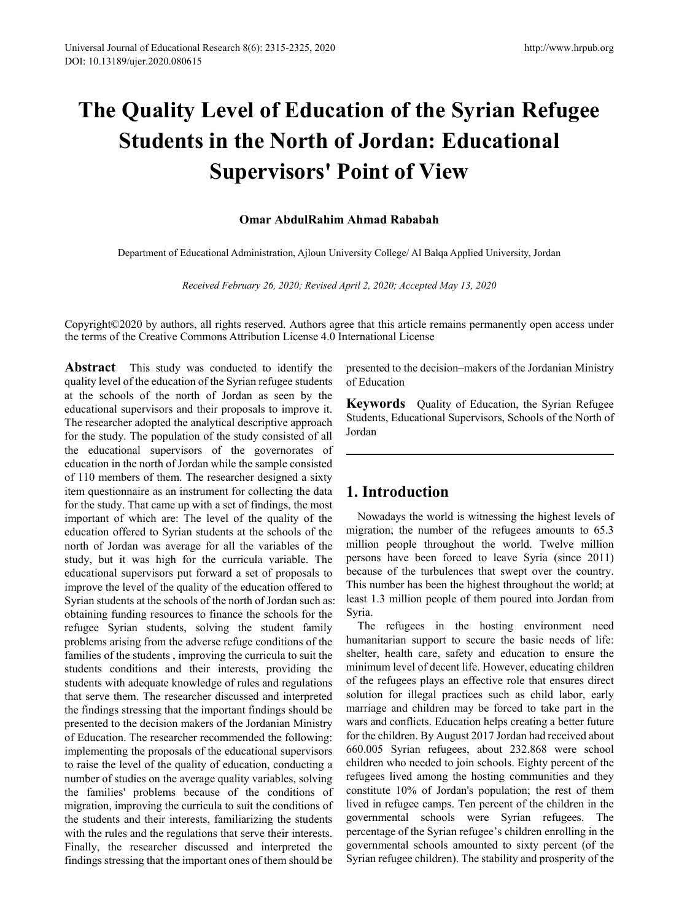# **The Quality Level of Education of the Syrian Refugee Students in the North of Jordan: Educational Supervisors' Point of View**

### **Omar AbdulRahim Ahmad Rababah**

Department of Educational Administration, Ajloun University College/ Al Balqa Applied University, Jordan

*Received February 26, 2020; Revised April 2, 2020; Accepted May 13, 2020*

Copyright©2020 by authors, all rights reserved. Authors agree that this article remains permanently open access under the terms of the Creative Commons Attribution License 4.0 International License

**Abstract** This study was conducted to identify the quality level of the education of the Syrian refugee students at the schools of the north of Jordan as seen by the educational supervisors and their proposals to improve it. The researcher adopted the analytical descriptive approach for the study. The population of the study consisted of all the educational supervisors of the governorates of education in the north of Jordan while the sample consisted of 110 members of them. The researcher designed a sixty item questionnaire as an instrument for collecting the data for the study. That came up with a set of findings, the most important of which are: The level of the quality of the education offered to Syrian students at the schools of the north of Jordan was average for all the variables of the study, but it was high for the curricula variable. The educational supervisors put forward a set of proposals to improve the level of the quality of the education offered to Syrian students at the schools of the north of Jordan such as: obtaining funding resources to finance the schools for the refugee Syrian students, solving the student family problems arising from the adverse refuge conditions of the families of the students , improving the curricula to suit the students conditions and their interests, providing the students with adequate knowledge of rules and regulations that serve them. The researcher discussed and interpreted the findings stressing that the important findings should be presented to the decision makers of the Jordanian Ministry of Education. The researcher recommended the following: implementing the proposals of the educational supervisors to raise the level of the quality of education, conducting a number of studies on the average quality variables, solving the families' problems because of the conditions of migration, improving the curricula to suit the conditions of the students and their interests, familiarizing the students with the rules and the regulations that serve their interests. Finally, the researcher discussed and interpreted the findings stressing that the important ones of them should be

presented to the decision–makers of the Jordanian Ministry of Education

**Keywords** Quality of Education, the Syrian Refugee Students, Educational Supervisors, Schools of the North of Jordan

# **1. Introduction**

Nowadays the world is witnessing the highest levels of migration; the number of the refugees amounts to 65.3 million people throughout the world. Twelve million persons have been forced to leave Syria (since 2011) because of the turbulences that swept over the country. This number has been the highest throughout the world; at least 1.3 million people of them poured into Jordan from Syria.

The refugees in the hosting environment need humanitarian support to secure the basic needs of life: shelter, health care, safety and education to ensure the minimum level of decent life. However, educating children of the refugees plays an effective role that ensures direct solution for illegal practices such as child labor, early marriage and children may be forced to take part in the wars and conflicts. Education helps creating a better future for the children. By August 2017 Jordan had received about 660.005 Syrian refugees, about 232.868 were school children who needed to join schools. Eighty percent of the refugees lived among the hosting communities and they constitute 10% of Jordan's population; the rest of them lived in refugee camps. Ten percent of the children in the governmental schools were Syrian refugees. The percentage of the Syrian refugee's children enrolling in the governmental schools amounted to sixty percent (of the Syrian refugee children). The stability and prosperity of the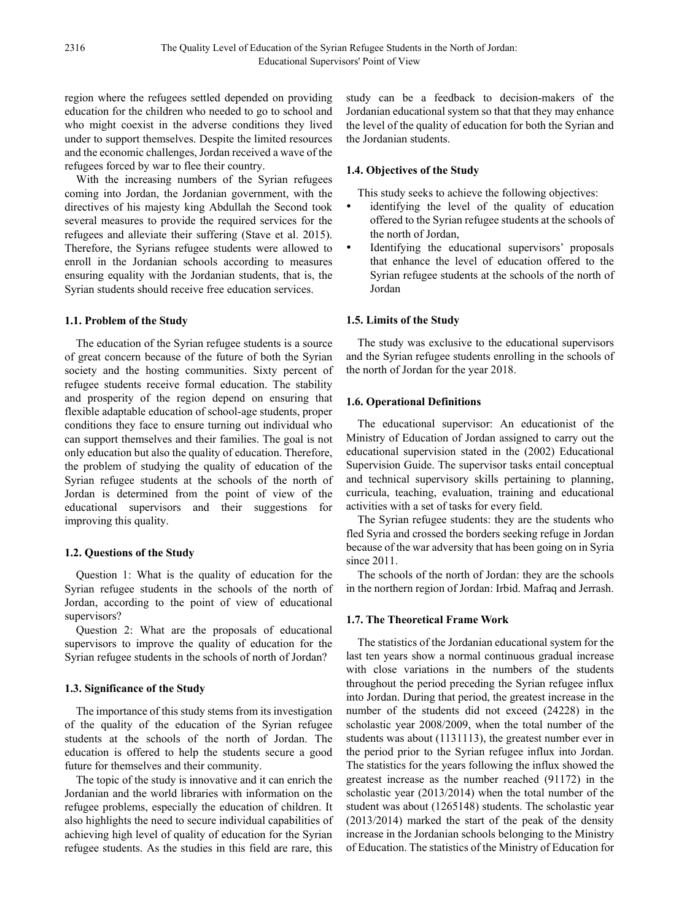region where the refugees settled depended on providing education for the children who needed to go to school and who might coexist in the adverse conditions they lived under to support themselves. Despite the limited resources and the economic challenges, Jordan received a wave of the refugees forced by war to flee their country.

With the increasing numbers of the Syrian refugees coming into Jordan, the Jordanian government, with the directives of his majesty king Abdullah the Second took several measures to provide the required services for the refugees and alleviate their suffering (Stave et al. 2015). Therefore, the Syrians refugee students were allowed to enroll in the Jordanian schools according to measures ensuring equality with the Jordanian students, that is, the Syrian students should receive free education services.

### **1.1. Problem of the Study**

The education of the Syrian refugee students is a source of great concern because of the future of both the Syrian society and the hosting communities. Sixty percent of refugee students receive formal education. The stability and prosperity of the region depend on ensuring that flexible adaptable education of school-age students, proper conditions they face to ensure turning out individual who can support themselves and their families. The goal is not only education but also the quality of education. Therefore, the problem of studying the quality of education of the Syrian refugee students at the schools of the north of Jordan is determined from the point of view of the educational supervisors and their suggestions for improving this quality.

### **1.2. Questions of the Study**

Question 1: What is the quality of education for the Syrian refugee students in the schools of the north of Jordan, according to the point of view of educational supervisors?

Question 2: What are the proposals of educational supervisors to improve the quality of education for the Syrian refugee students in the schools of north of Jordan?

### **1.3. Significance of the Study**

The importance of this study stems from its investigation of the quality of the education of the Syrian refugee students at the schools of the north of Jordan. The education is offered to help the students secure a good future for themselves and their community.

The topic of the study is innovative and it can enrich the Jordanian and the world libraries with information on the refugee problems, especially the education of children. It also highlights the need to secure individual capabilities of achieving high level of quality of education for the Syrian refugee students. As the studies in this field are rare, this

study can be a feedback to decision-makers of the Jordanian educational system so that that they may enhance the level of the quality of education for both the Syrian and the Jordanian students.

### **1.4. Objectives of the Study**

This study seeks to achieve the following objectives:

- identifying the level of the quality of education offered to the Syrian refugee students at the schools of the north of Jordan,
- Identifying the educational supervisors' proposals that enhance the level of education offered to the Syrian refugee students at the schools of the north of Jordan

### **1.5. Limits of the Study**

The study was exclusive to the educational supervisors and the Syrian refugee students enrolling in the schools of the north of Jordan for the year 2018.

#### **1.6. Operational Definitions**

The educational supervisor: An educationist of the Ministry of Education of Jordan assigned to carry out the educational supervision stated in the (2002) Educational Supervision Guide. The supervisor tasks entail conceptual and technical supervisory skills pertaining to planning, curricula, teaching, evaluation, training and educational activities with a set of tasks for every field.

The Syrian refugee students: they are the students who fled Syria and crossed the borders seeking refuge in Jordan because of the war adversity that has been going on in Syria since 2011.

The schools of the north of Jordan: they are the schools in the northern region of Jordan: Irbid. Mafraq and Jerrash.

### **1.7. The Theoretical Frame Work**

The statistics of the Jordanian educational system for the last ten years show a normal continuous gradual increase with close variations in the numbers of the students throughout the period preceding the Syrian refugee influx into Jordan. During that period, the greatest increase in the number of the students did not exceed (24228) in the scholastic year 2008/2009, when the total number of the students was about (1131113), the greatest number ever in the period prior to the Syrian refugee influx into Jordan. The statistics for the years following the influx showed the greatest increase as the number reached (91172) in the scholastic year (2013/2014) when the total number of the student was about (1265148) students. The scholastic year (2013/2014) marked the start of the peak of the density increase in the Jordanian schools belonging to the Ministry of Education. The statistics of the Ministry of Education for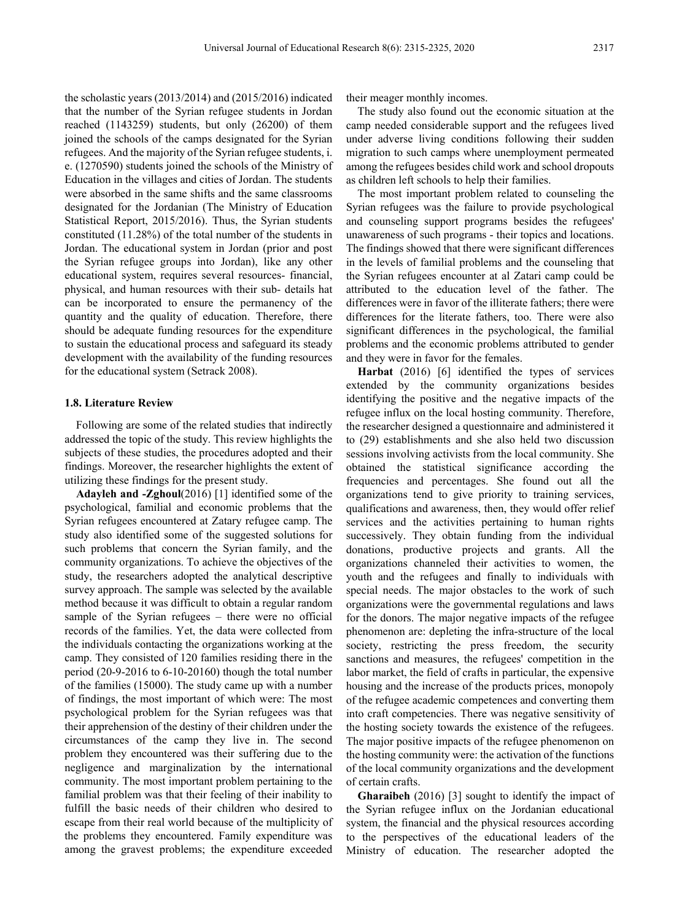the scholastic years (2013/2014) and (2015/2016) indicated that the number of the Syrian refugee students in Jordan reached (1143259) students, but only (26200) of them joined the schools of the camps designated for the Syrian refugees. And the majority of the Syrian refugee students, i. e. (1270590) students joined the schools of the Ministry of Education in the villages and cities of Jordan. The students were absorbed in the same shifts and the same classrooms designated for the Jordanian (The Ministry of Education Statistical Report, 2015/2016). Thus, the Syrian students constituted (11.28%) of the total number of the students in Jordan. The educational system in Jordan (prior and post the Syrian refugee groups into Jordan), like any other educational system, requires several resources- financial, physical, and human resources with their sub- details hat can be incorporated to ensure the permanency of the quantity and the quality of education. Therefore, there should be adequate funding resources for the expenditure to sustain the educational process and safeguard its steady development with the availability of the funding resources for the educational system (Setrack 2008).

### **1.8. Literature Review**

Following are some of the related studies that indirectly addressed the topic of the study. This review highlights the subjects of these studies, the procedures adopted and their findings. Moreover, the researcher highlights the extent of utilizing these findings for the present study.

**Adayleh and -Zghoul**(2016) [1] identified some of the psychological, familial and economic problems that the Syrian refugees encountered at Zatary refugee camp. The study also identified some of the suggested solutions for such problems that concern the Syrian family, and the community organizations. To achieve the objectives of the study, the researchers adopted the analytical descriptive survey approach. The sample was selected by the available method because it was difficult to obtain a regular random sample of the Syrian refugees – there were no official records of the families. Yet, the data were collected from the individuals contacting the organizations working at the camp. They consisted of 120 families residing there in the period (20-9-2016 to 6-10-20160) though the total number of the families (15000). The study came up with a number of findings, the most important of which were: The most psychological problem for the Syrian refugees was that their apprehension of the destiny of their children under the circumstances of the camp they live in. The second problem they encountered was their suffering due to the negligence and marginalization by the international community. The most important problem pertaining to the familial problem was that their feeling of their inability to fulfill the basic needs of their children who desired to escape from their real world because of the multiplicity of the problems they encountered. Family expenditure was among the gravest problems; the expenditure exceeded

their meager monthly incomes.

The study also found out the economic situation at the camp needed considerable support and the refugees lived under adverse living conditions following their sudden migration to such camps where unemployment permeated among the refugees besides child work and school dropouts as children left schools to help their families.

The most important problem related to counseling the Syrian refugees was the failure to provide psychological and counseling support programs besides the refugees' unawareness of such programs - their topics and locations. The findings showed that there were significant differences in the levels of familial problems and the counseling that the Syrian refugees encounter at al Zatari camp could be attributed to the education level of the father. The differences were in favor of the illiterate fathers; there were differences for the literate fathers, too. There were also significant differences in the psychological, the familial problems and the economic problems attributed to gender and they were in favor for the females.

**Harbat** (2016) [6] identified the types of services extended by the community organizations besides identifying the positive and the negative impacts of the refugee influx on the local hosting community. Therefore, the researcher designed a questionnaire and administered it to (29) establishments and she also held two discussion sessions involving activists from the local community. She obtained the statistical significance according the frequencies and percentages. She found out all the organizations tend to give priority to training services, qualifications and awareness, then, they would offer relief services and the activities pertaining to human rights successively. They obtain funding from the individual donations, productive projects and grants. All the organizations channeled their activities to women, the youth and the refugees and finally to individuals with special needs. The major obstacles to the work of such organizations were the governmental regulations and laws for the donors. The major negative impacts of the refugee phenomenon are: depleting the infra-structure of the local society, restricting the press freedom, the security sanctions and measures, the refugees' competition in the labor market, the field of crafts in particular, the expensive housing and the increase of the products prices, monopoly of the refugee academic competences and converting them into craft competencies. There was negative sensitivity of the hosting society towards the existence of the refugees. The major positive impacts of the refugee phenomenon on the hosting community were: the activation of the functions of the local community organizations and the development of certain crafts.

**Gharaibeh** (2016) [3] sought to identify the impact of the Syrian refugee influx on the Jordanian educational system, the financial and the physical resources according to the perspectives of the educational leaders of the Ministry of education. The researcher adopted the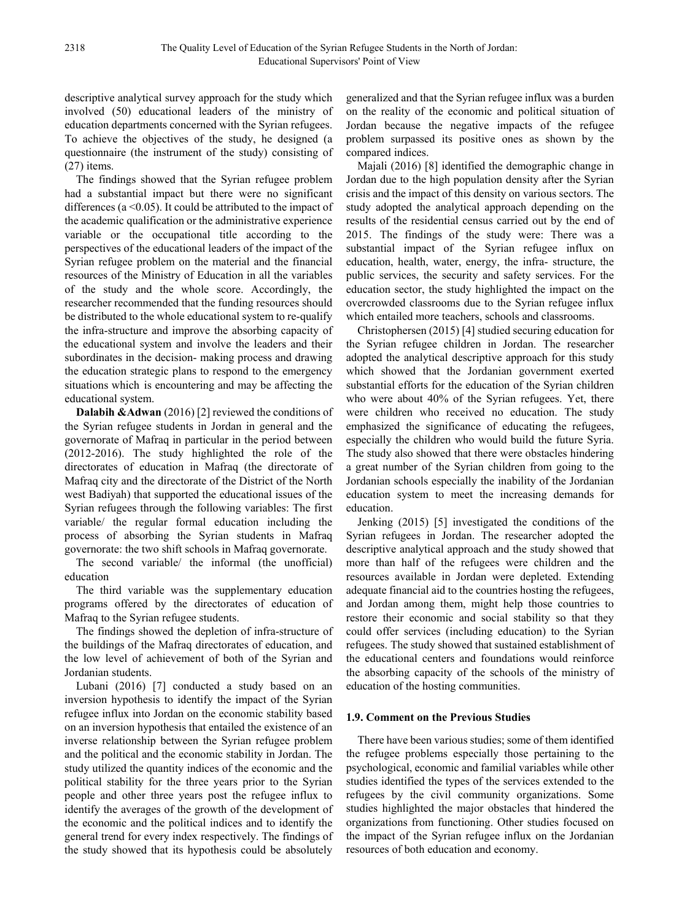descriptive analytical survey approach for the study which involved (50) educational leaders of the ministry of education departments concerned with the Syrian refugees. To achieve the objectives of the study, he designed (a questionnaire (the instrument of the study) consisting of (27) items.

The findings showed that the Syrian refugee problem had a substantial impact but there were no significant differences ( $a \le 0.05$ ). It could be attributed to the impact of the academic qualification or the administrative experience variable or the occupational title according to the perspectives of the educational leaders of the impact of the Syrian refugee problem on the material and the financial resources of the Ministry of Education in all the variables of the study and the whole score. Accordingly, the researcher recommended that the funding resources should be distributed to the whole educational system to re-qualify the infra-structure and improve the absorbing capacity of the educational system and involve the leaders and their subordinates in the decision- making process and drawing the education strategic plans to respond to the emergency situations which is encountering and may be affecting the educational system.

**Dalabih &Adwan** (2016) [2] reviewed the conditions of the Syrian refugee students in Jordan in general and the governorate of Mafraq in particular in the period between (2012-2016). The study highlighted the role of the directorates of education in Mafraq (the directorate of Mafraq city and the directorate of the District of the North west Badiyah) that supported the educational issues of the Syrian refugees through the following variables: The first variable/ the regular formal education including the process of absorbing the Syrian students in Mafraq governorate: the two shift schools in Mafraq governorate.

The second variable/ the informal (the unofficial) education

The third variable was the supplementary education programs offered by the directorates of education of Mafraq to the Syrian refugee students.

The findings showed the depletion of infra-structure of the buildings of the Mafraq directorates of education, and the low level of achievement of both of the Syrian and Jordanian students.

Lubani (2016) [7] conducted a study based on an inversion hypothesis to identify the impact of the Syrian refugee influx into Jordan on the economic stability based on an inversion hypothesis that entailed the existence of an inverse relationship between the Syrian refugee problem and the political and the economic stability in Jordan. The study utilized the quantity indices of the economic and the political stability for the three years prior to the Syrian people and other three years post the refugee influx to identify the averages of the growth of the development of the economic and the political indices and to identify the general trend for every index respectively. The findings of the study showed that its hypothesis could be absolutely

generalized and that the Syrian refugee influx was a burden on the reality of the economic and political situation of Jordan because the negative impacts of the refugee problem surpassed its positive ones as shown by the compared indices.

Majali (2016) [8] identified the demographic change in Jordan due to the high population density after the Syrian crisis and the impact of this density on various sectors. The study adopted the analytical approach depending on the results of the residential census carried out by the end of 2015. The findings of the study were: There was a substantial impact of the Syrian refugee influx on education, health, water, energy, the infra- structure, the public services, the security and safety services. For the education sector, the study highlighted the impact on the overcrowded classrooms due to the Syrian refugee influx which entailed more teachers, schools and classrooms.

Christophersen (2015) [4] studied securing education for the Syrian refugee children in Jordan. The researcher adopted the analytical descriptive approach for this study which showed that the Jordanian government exerted substantial efforts for the education of the Syrian children who were about 40% of the Syrian refugees. Yet, there were children who received no education. The study emphasized the significance of educating the refugees, especially the children who would build the future Syria. The study also showed that there were obstacles hindering a great number of the Syrian children from going to the Jordanian schools especially the inability of the Jordanian education system to meet the increasing demands for education.

Jenking (2015) [5] investigated the conditions of the Syrian refugees in Jordan. The researcher adopted the descriptive analytical approach and the study showed that more than half of the refugees were children and the resources available in Jordan were depleted. Extending adequate financial aid to the countries hosting the refugees, and Jordan among them, might help those countries to restore their economic and social stability so that they could offer services (including education) to the Syrian refugees. The study showed that sustained establishment of the educational centers and foundations would reinforce the absorbing capacity of the schools of the ministry of education of the hosting communities.

### **1.9. Comment on the Previous Studies**

There have been various studies; some of them identified the refugee problems especially those pertaining to the psychological, economic and familial variables while other studies identified the types of the services extended to the refugees by the civil community organizations. Some studies highlighted the major obstacles that hindered the organizations from functioning. Other studies focused on the impact of the Syrian refugee influx on the Jordanian resources of both education and economy.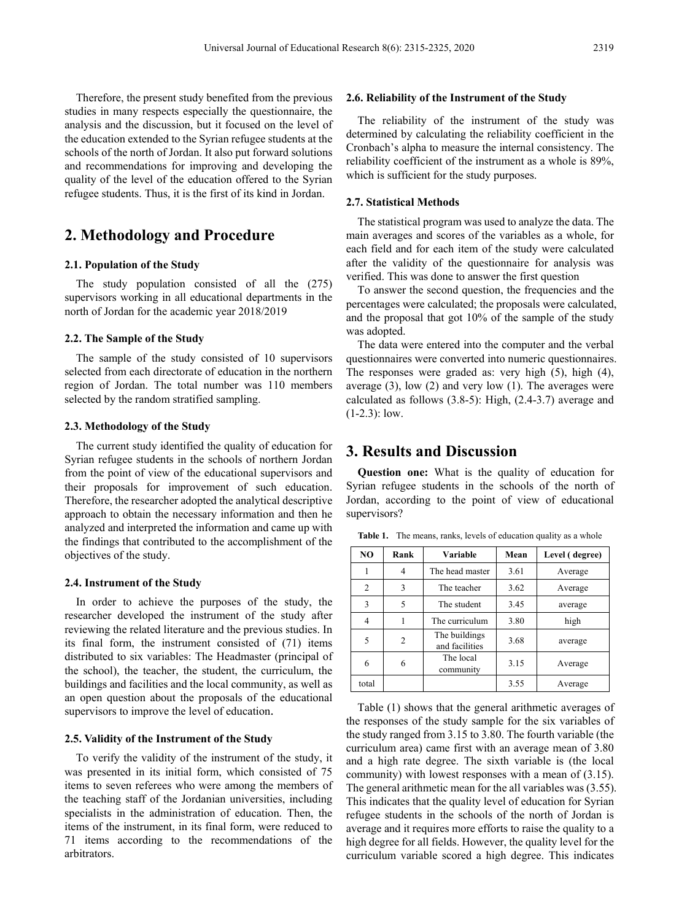**2.6. Reliability of the Instrument of the Study**

The reliability of the instrument of the study was determined by calculating the reliability coefficient in the Cronbach's alpha to measure the internal consistency. The reliability coefficient of the instrument as a whole is 89%, which is sufficient for the study purposes.

### **2.7. Statistical Methods**

The statistical program was used to analyze the data. The main averages and scores of the variables as a whole, for each field and for each item of the study were calculated after the validity of the questionnaire for analysis was verified. This was done to answer the first question

To answer the second question, the frequencies and the percentages were calculated; the proposals were calculated, and the proposal that got 10% of the sample of the study was adopted.

The data were entered into the computer and the verbal questionnaires were converted into numeric questionnaires. The responses were graded as: very high (5), high (4), average (3), low (2) and very low (1). The averages were calculated as follows (3.8-5): High, (2.4-3.7) average and  $(1-2.3)$ : low.

# **3. Results and Discussion**

**Question one:** What is the quality of education for Syrian refugee students in the schools of the north of Jordan, according to the point of view of educational supervisors?

Table 1. The means, ranks, levels of education quality as a whole

|           | NO             | Rank | Variable                        | Mean | Level (degree) |
|-----------|----------------|------|---------------------------------|------|----------------|
|           |                | 4    | The head master                 | 3.61 | Average        |
|           | $\mathfrak{D}$ | 3    | The teacher                     | 3.62 | Average        |
| the       | 3              | 5    | The student                     | 3.45 | average        |
| ter       | 4              |      | The curriculum                  | 3.80 | high           |
| In<br>ms  | 5              | 2    | The buildings<br>and facilities | 3.68 | average        |
| of<br>the | 6              | 6    | The local<br>community          | 3.15 | Average        |
| as        | total          |      |                                 | 3.55 | Average        |

Table (1) shows that the general arithmetic averages of the responses of the study sample for the six variables of the study ranged from 3.15 to 3.80. The fourth variable (the curriculum area) came first with an average mean of 3.80 and a high rate degree. The sixth variable is (the local community) with lowest responses with a mean of (3.15). The general arithmetic mean for the all variables was (3.55). This indicates that the quality level of education for Syrian refugee students in the schools of the north of Jordan is average and it requires more efforts to raise the quality to a high degree for all fields. However, the quality level for the curriculum variable scored a high degree. This indicates

Therefore, the present study benefited from the previous studies in many respects especially the questionnaire, the analysis and the discussion, but it focused on the level of the education extended to the Syrian refugee students at the schools of the north of Jordan. It also put forward solutions and recommendations for improving and developing the quality of the level of the education offered to the Syrian refugee students. Thus, it is the first of its kind in Jordan.

## **2. Methodology and Procedure**

### **2.1. Population of the Study**

The study population consisted of all the (275) supervisors working in all educational departments in the north of Jordan for the academic year 2018/2019

### **2.2. The Sample of the Study**

The sample of the study consisted of 10 supervisors selected from each directorate of education in the northern region of Jordan. The total number was 110 members selected by the random stratified sampling.

### **2.3. Methodology of the Study**

The current study identified the quality of education for Syrian refugee students in the schools of northern Jordan from the point of view of the educational supervisors and their proposals for improvement of such education. Therefore, the researcher adopted the analytical descriptive approach to obtain the necessary information and then he analyzed and interpreted the information and came up with the findings that contributed to the accomplishment of the objectives of the study.

### **2.4. Instrument of the Study**

In order to achieve the purposes of the study, researcher developed the instrument of the study after reviewing the related literature and the previous studies. its final form, the instrument consisted of  $(71)$  ite distributed to six variables: The Headmaster (principal the school), the teacher, the student, the curriculum, buildings and facilities and the local community, as well as an open question about the proposals of the educational supervisors to improve the level of education.

### **2.5. Validity of the Instrument of the Study**

To verify the validity of the instrument of the study, it was presented in its initial form, which consisted of 75 items to seven referees who were among the members of the teaching staff of the Jordanian universities, including specialists in the administration of education. Then, the items of the instrument, in its final form, were reduced to 71 items according to the recommendations of the arbitrators.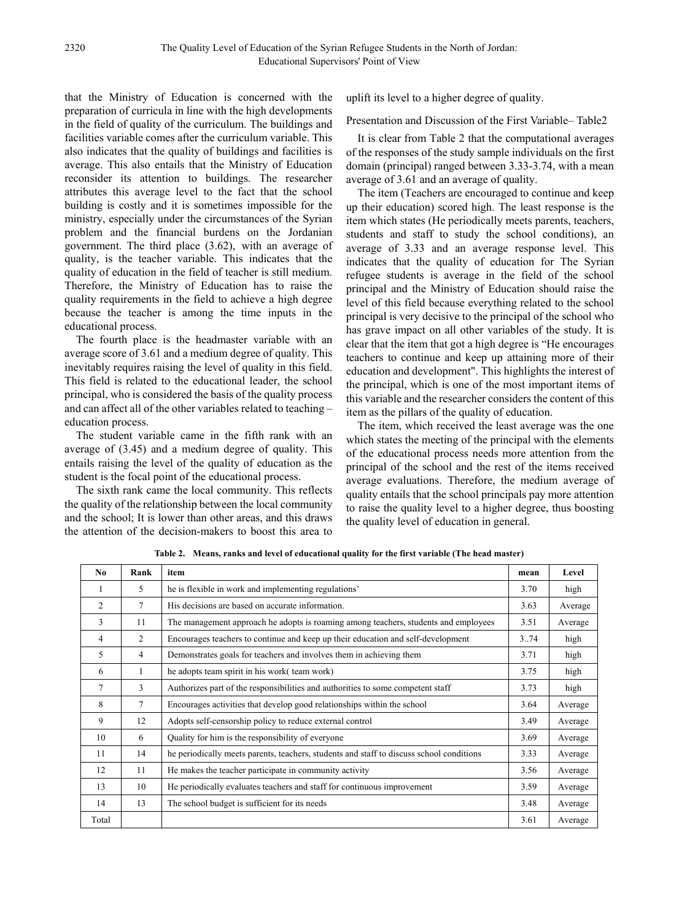that the Ministry of Education is concerned with the preparation of curricula in line with the high developments in the field of quality of the curriculum. The buildings and facilities variable comes after the curriculum variable. This also indicates that the quality of buildings and facilities is average. This also entails that the Ministry of Education reconsider its attention to buildings. The researcher attributes this average level to the fact that the school building is costly and it is sometimes impossible for the ministry, especially under the circumstances of the Syrian problem and the financial burdens on the Jordanian government. The third place (3.62), with an average of quality, is the teacher variable. This indicates that the quality of education in the field of teacher is still medium. Therefore, the Ministry of Education has to raise the quality requirements in the field to achieve a high degree because the teacher is among the time inputs in the educational process.

The fourth place is the headmaster variable with an average score of 3.61 and a medium degree of quality. This inevitably requires raising the level of quality in this field. This field is related to the educational leader, the school principal, who is considered the basis of the quality process and can affect all of the other variables related to teaching – education process.

The student variable came in the fifth rank with an average of (3.45) and a medium degree of quality. This entails raising the level of the quality of education as the student is the focal point of the educational process.

The sixth rank came the local community. This reflects the quality of the relationship between the local community and the school; It is lower than other areas, and this draws the attention of the decision-makers to boost this area to

uplift its level to a higher degree of quality.

Presentation and Discussion of the First Variable– Table2

It is clear from Table 2 that the computational averages of the responses of the study sample individuals on the first domain (principal) ranged between 3.33-3.74, with a mean average of 3.61 and an average of quality.

The item (Teachers are encouraged to continue and keep up their education) scored high. The least response is the item which states (He periodically meets parents, teachers, students and staff to study the school conditions), an average of 3.33 and an average response level. This indicates that the quality of education for The Syrian refugee students is average in the field of the school principal and the Ministry of Education should raise the level of this field because everything related to the school principal is very decisive to the principal of the school who has grave impact on all other variables of the study. It is clear that the item that got a high degree is "He encourages teachers to continue and keep up attaining more of their education and development". This highlights the interest of the principal, which is one of the most important items of this variable and the researcher considers the content of this item as the pillars of the quality of education.

The item, which received the least average was the one which states the meeting of the principal with the elements of the educational process needs more attention from the principal of the school and the rest of the items received average evaluations. Therefore, the medium average of quality entails that the school principals pay more attention to raise the quality level to a higher degree, thus boosting the quality level of education in general.

| No.            | Rank           | item                                                                                     | mean | Level   |
|----------------|----------------|------------------------------------------------------------------------------------------|------|---------|
|                | 5              | he is flexible in work and implementing regulations'                                     | 3.70 | high    |
| $\overline{2}$ | 7              | His decisions are based on accurate information.                                         | 3.63 | Average |
| 3              | 11             | The management approach he adopts is roaming among teachers, students and employees      | 3.51 | Average |
| 4              | $\overline{2}$ | Encourages teachers to continue and keep up their education and self-development         | 3.74 | high    |
| 5              | 4              | Demonstrates goals for teachers and involves them in achieving them                      | 3.71 | high    |
| 6              | 1              | he adopts team spirit in his work( team work)                                            | 3.75 | high    |
| 7              | 3              | Authorizes part of the responsibilities and authorities to some competent staff          | 3.73 | high    |
| 8              | 7              | Encourages activities that develop good relationships within the school                  | 3.64 | Average |
| 9              | 12             | Adopts self-censorship policy to reduce external control                                 | 3.49 | Average |
| 10             | 6              | Quality for him is the responsibility of everyone                                        | 3.69 | Average |
| 11             | 14             | he periodically meets parents, teachers, students and staff to discuss school conditions | 3.33 | Average |
| 12             | 11             | He makes the teacher participate in community activity                                   | 3.56 | Average |
| 13             | 10             | He periodically evaluates teachers and staff for continuous improvement                  | 3.59 | Average |
| 14             | 13             | The school budget is sufficient for its needs                                            | 3.48 | Average |
| Total          |                |                                                                                          | 3.61 | Average |

**Table 2. Means, ranks and level of educational quality for the first variable (The head master)**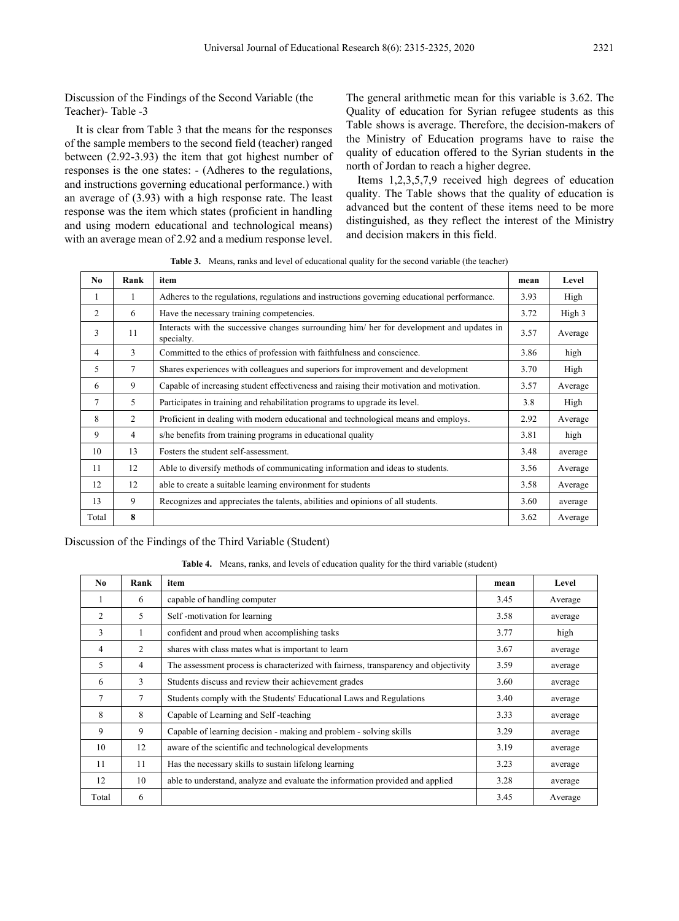Discussion of the Findings of the Second Variable (the Teacher)- Table -3

It is clear from Table 3 that the means for the responses of the sample members to the second field (teacher) ranged between (2.92-3.93) the item that got highest number of responses is the one states: - (Adheres to the regulations, and instructions governing educational performance.) with an average of (3.93) with a high response rate. The least response was the item which states (proficient in handling and using modern educational and technological means) with an average mean of 2.92 and a medium response level.

The general arithmetic mean for this variable is 3.62. The Quality of education for Syrian refugee students as this Table shows is average. Therefore, the decision-makers of the Ministry of Education programs have to raise the quality of education offered to the Syrian students in the north of Jordan to reach a higher degree.

Items 1,2,3,5,7,9 received high degrees of education quality. The Table shows that the quality of education is advanced but the content of these items need to be more distinguished, as they reflect the interest of the Ministry and decision makers in this field.

**Table 3.** Means, ranks and level of educational quality for the second variable (the teacher)

| No             | Rank           | item                                                                                                    | mean | Level   |
|----------------|----------------|---------------------------------------------------------------------------------------------------------|------|---------|
| 1              | 1              | Adheres to the regulations, regulations and instructions governing educational performance.             | 3.93 | High    |
| $\overline{2}$ | 6              | Have the necessary training competencies.                                                               | 3.72 | High 3  |
| 3              | 11             | Interacts with the successive changes surrounding him/ her for development and updates in<br>specialty. | 3.57 | Average |
| 4              | 3              | Committed to the ethics of profession with faithfulness and conscience.                                 | 3.86 | high    |
| 5              | $\tau$         | Shares experiences with colleagues and superiors for improvement and development                        | 3.70 | High    |
| 6              | 9              | Capable of increasing student effectiveness and raising their motivation and motivation.                | 3.57 | Average |
| 7              | 5              | Participates in training and rehabilitation programs to upgrade its level.                              | 3.8  | High    |
| 8              | 2              | Proficient in dealing with modern educational and technological means and employs.                      | 2.92 | Average |
| 9              | $\overline{4}$ | s/he benefits from training programs in educational quality                                             | 3.81 | high    |
| 10             | 13             | Fosters the student self-assessment.                                                                    | 3.48 | average |
| 11             | 12             | Able to diversify methods of communicating information and ideas to students.                           | 3.56 | Average |
| 12             | 12             | able to create a suitable learning environment for students                                             | 3.58 | Average |
| 13             | 9              | Recognizes and appreciates the talents, abilities and opinions of all students.                         | 3.60 | average |
| Total          | 8              |                                                                                                         | 3.62 | Average |

Discussion of the Findings of the Third Variable (Student)

**Table 4.** Means, ranks, and levels of education quality for the third variable (student)

| No.            | Rank           | item                                                                                | mean | Level   |
|----------------|----------------|-------------------------------------------------------------------------------------|------|---------|
|                | 6              | capable of handling computer                                                        | 3.45 | Average |
| 2              | 5              | Self-motivation for learning                                                        | 3.58 | average |
| 3              | 1              | confident and proud when accomplishing tasks                                        | 3.77 | high    |
| 4              | $\mathfrak{D}$ | shares with class mates what is important to learn                                  | 3.67 | average |
| 5              | 4              | The assessment process is characterized with fairness, transparency and objectivity | 3.59 | average |
| 6              | 3              | Students discuss and review their achievement grades                                | 3.60 | average |
| $\overline{7}$ | 7              | Students comply with the Students' Educational Laws and Regulations                 | 3.40 | average |
| 8              | 8              | Capable of Learning and Self-teaching                                               | 3.33 | average |
| 9              | 9              | Capable of learning decision - making and problem - solving skills                  | 3.29 | average |
| 10             | 12             | aware of the scientific and technological developments                              | 3.19 | average |
| 11             | 11             | Has the necessary skills to sustain lifelong learning                               | 3.23 | average |
| 12             | 10             | able to understand, analyze and evaluate the information provided and applied       | 3.28 | average |
| Total          | 6              |                                                                                     | 3.45 | Average |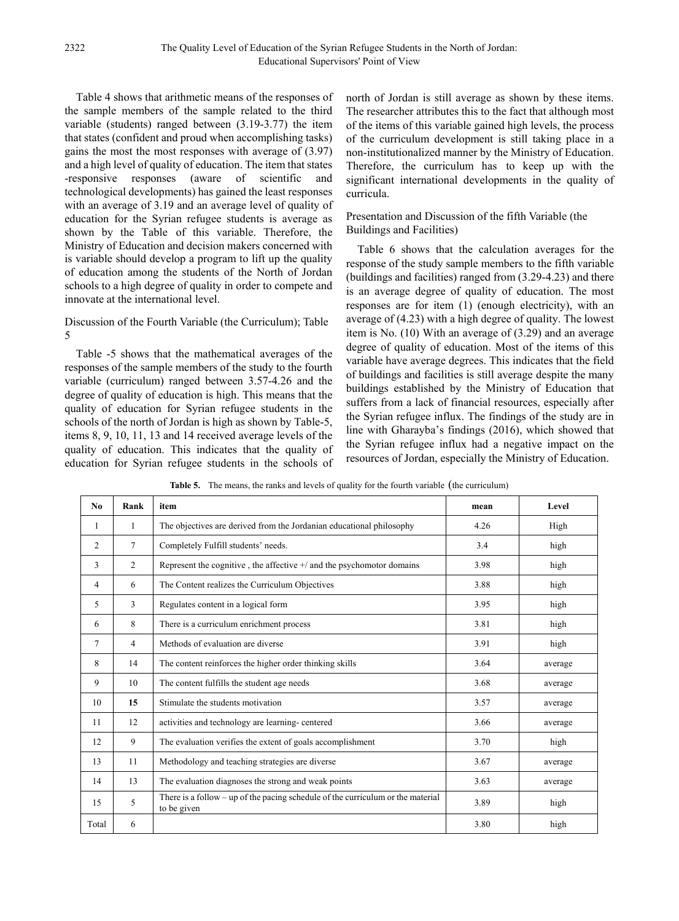Table 4 shows that arithmetic means of the responses of the sample members of the sample related to the third variable (students) ranged between (3.19-3.77) the item that states (confident and proud when accomplishing tasks) gains the most the most responses with average of (3.97) and a high level of quality of education. The item that states -responsive responses (aware of scientific and technological developments) has gained the least responses with an average of 3.19 and an average level of quality of education for the Syrian refugee students is average as shown by the Table of this variable. Therefore, the Ministry of Education and decision makers concerned with is variable should develop a program to lift up the quality of education among the students of the North of Jordan schools to a high degree of quality in order to compete and innovate at the international level.

### Discussion of the Fourth Variable (the Curriculum); Table 5

Table -5 shows that the mathematical averages of the responses of the sample members of the study to the fourth variable (curriculum) ranged between 3.57-4.26 and the degree of quality of education is high. This means that the quality of education for Syrian refugee students in the schools of the north of Jordan is high as shown by Table-5, items 8, 9, 10, 11, 13 and 14 received average levels of the quality of education. This indicates that the quality of education for Syrian refugee students in the schools of north of Jordan is still average as shown by these items. The researcher attributes this to the fact that although most of the items of this variable gained high levels, the process of the curriculum development is still taking place in a non-institutionalized manner by the Ministry of Education. Therefore, the curriculum has to keep up with the significant international developments in the quality of curricula.

### Presentation and Discussion of the fifth Variable (the Buildings and Facilities)

Table 6 shows that the calculation averages for the response of the study sample members to the fifth variable (buildings and facilities) ranged from (3.29-4.23) and there is an average degree of quality of education. The most responses are for item (1) (enough electricity), with an average of (4.23) with a high degree of quality. The lowest item is No. (10) With an average of (3.29) and an average degree of quality of education. Most of the items of this variable have average degrees. This indicates that the field of buildings and facilities is still average despite the many buildings established by the Ministry of Education that suffers from a lack of financial resources, especially after the Syrian refugee influx. The findings of the study are in line with Gharayba's findings (2016), which showed that the Syrian refugee influx had a negative impact on the resources of Jordan, especially the Ministry of Education.

| No.            | Rank            | item                                                                                           | mean | Level   |
|----------------|-----------------|------------------------------------------------------------------------------------------------|------|---------|
| 1              | 1               | The objectives are derived from the Jordanian educational philosophy                           | 4.26 | High    |
| $\mathfrak{D}$ | $7\phantom{.0}$ | Completely Fulfill students' needs.                                                            | 3.4  | high    |
| 3              | 2               | Represent the cognitive, the affective $+$ and the psychomotor domains                         | 3.98 | high    |
| 4              | 6               | The Content realizes the Curriculum Objectives                                                 | 3.88 | high    |
| 5              | 3               | Regulates content in a logical form                                                            | 3.95 | high    |
| 6              | 8               | There is a curriculum enrichment process                                                       | 3.81 | high    |
| 7              | $\overline{4}$  | Methods of evaluation are diverse                                                              | 3.91 | high    |
| 8              | 14              | The content reinforces the higher order thinking skills                                        | 3.64 | average |
| 9              | 10              | The content fulfills the student age needs                                                     | 3.68 | average |
| 10             | 15              | Stimulate the students motivation                                                              | 3.57 | average |
| 11             | 12              | activities and technology are learning-centered                                                | 3.66 | average |
| 12             | 9               | The evaluation verifies the extent of goals accomplishment                                     | 3.70 | high    |
| 13             | 11              | Methodology and teaching strategies are diverse                                                | 3.67 | average |
| 14             | 13              | The evaluation diagnoses the strong and weak points                                            | 3.63 | average |
| 15             | 5               | There is a follow - up of the pacing schedule of the curriculum or the material<br>to be given | 3.89 | high    |
| Total          | 6               |                                                                                                | 3.80 | high    |

**Table 5.** The means, the ranks and levels of quality for the fourth variable (the curriculum)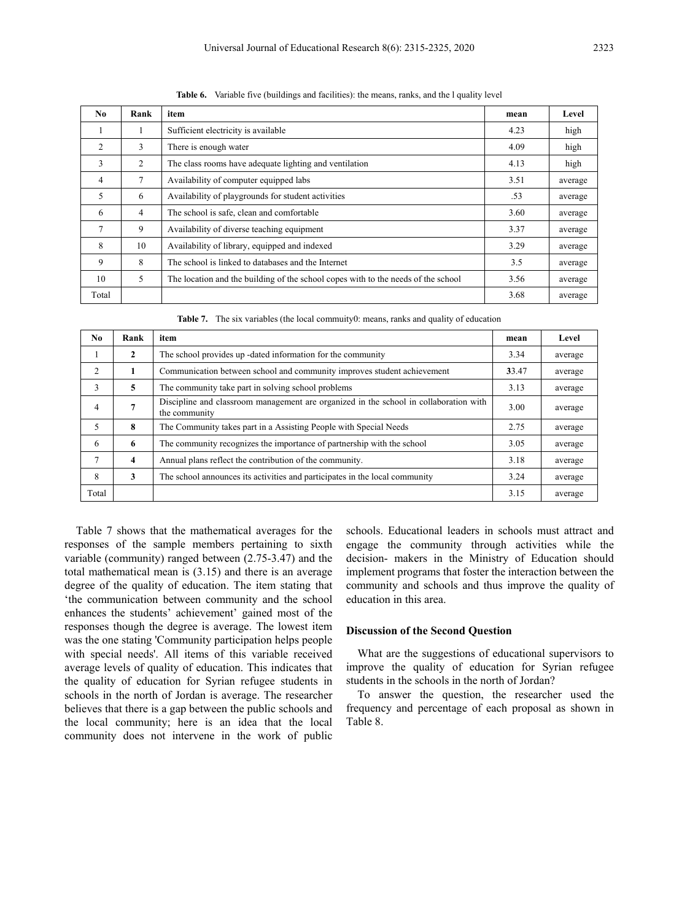| N <sub>0</sub> | Rank | item                                                                              | mean | Level   |
|----------------|------|-----------------------------------------------------------------------------------|------|---------|
|                |      | Sufficient electricity is available                                               | 4.23 | high    |
| 2              | 3    | There is enough water                                                             | 4.09 | high    |
| 3              | 2    | The class rooms have adequate lighting and ventilation                            | 4.13 | high    |
| 4              | 7    | Availability of computer equipped labs                                            | 3.51 | average |
| 5              | 6    | Availability of playgrounds for student activities                                | .53  | average |
| 6              | 4    | The school is safe, clean and comfortable                                         | 3.60 | average |
| $\tau$         | 9    | Availability of diverse teaching equipment                                        | 3.37 | average |
| 8              | 10   | Availability of library, equipped and indexed                                     | 3.29 | average |
| 9              | 8    | The school is linked to databases and the Internet                                | 3.5  | average |
| 10             | 5    | The location and the building of the school copes with to the needs of the school | 3.56 | average |
| Total          |      |                                                                                   | 3.68 | average |

**Table 6.** Variable five (buildings and facilities): the means, ranks, and the l quality level

**Table 7.** The six variables (the local commuity0: means, ranks and quality of education

| No.            | Rank                    | item                                                                                                   | mean  | Level   |
|----------------|-------------------------|--------------------------------------------------------------------------------------------------------|-------|---------|
| л.             | $\mathbf{2}$            | The school provides up -dated information for the community                                            | 3.34  | average |
| $\mathfrak{D}$ | 1                       | Communication between school and community improves student achievement                                | 33.47 | average |
| 3              | 5                       | The community take part in solving school problems                                                     | 3.13  | average |
| $\overline{4}$ | 7                       | Discipline and classroom management are organized in the school in collaboration with<br>the community | 3.00  | average |
| 5              | 8                       | The Community takes part in a Assisting People with Special Needs                                      | 2.75  | average |
| 6              | 6                       | The community recognizes the importance of partnership with the school                                 | 3.05  | average |
|                | $\overline{\mathbf{4}}$ | Annual plans reflect the contribution of the community.                                                | 3.18  | average |
| 8              | 3                       | The school announces its activities and participates in the local community                            | 3.24  | average |
| Total          |                         |                                                                                                        | 3.15  | average |

Table 7 shows that the mathematical averages for the responses of the sample members pertaining to sixth variable (community) ranged between (2.75-3.47) and the total mathematical mean is (3.15) and there is an average degree of the quality of education. The item stating that 'the communication between community and the school enhances the students' achievement' gained most of the responses though the degree is average. The lowest item was the one stating 'Community participation helps people with special needs'. All items of this variable received average levels of quality of education. This indicates that the quality of education for Syrian refugee students in schools in the north of Jordan is average. The researcher believes that there is a gap between the public schools and the local community; here is an idea that the local community does not intervene in the work of public

schools. Educational leaders in schools must attract and engage the community through activities while the decision- makers in the Ministry of Education should implement programs that foster the interaction between the community and schools and thus improve the quality of education in this area.

### **Discussion of the Second Question**

What are the suggestions of educational supervisors to improve the quality of education for Syrian refugee students in the schools in the north of Jordan?

To answer the question, the researcher used the frequency and percentage of each proposal as shown in Table 8.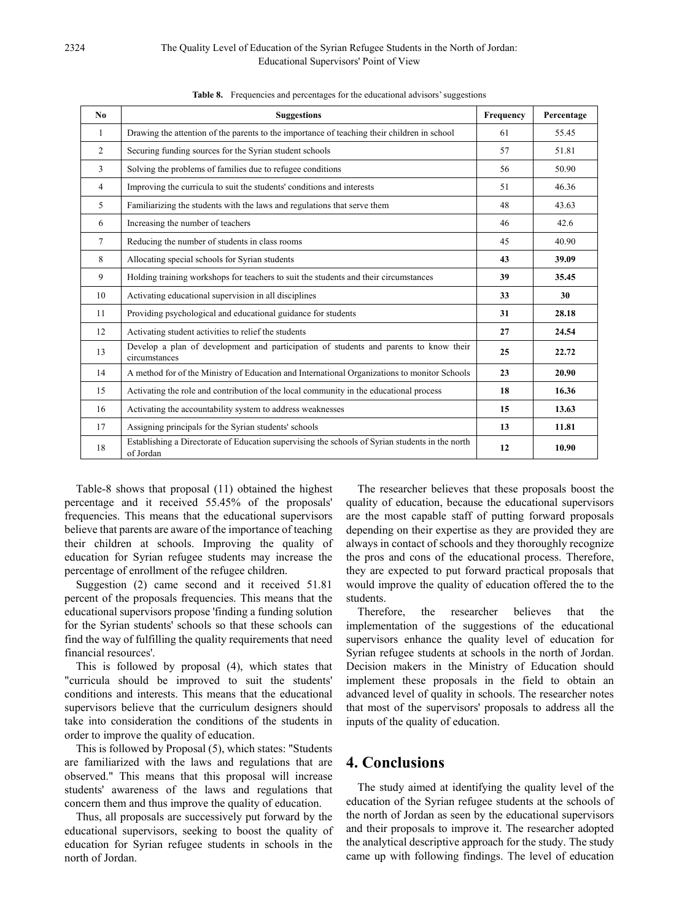### 2324 The Quality Level of Education of the Syrian Refugee Students in the North of Jordan: Educational Supervisors' Point of View

| N <sub>0</sub> | <b>Suggestions</b>                                                                                           | Frequency | Percentage |
|----------------|--------------------------------------------------------------------------------------------------------------|-----------|------------|
| 1              | Drawing the attention of the parents to the importance of teaching their children in school                  | 61        | 55.45      |
| 2              | Securing funding sources for the Syrian student schools                                                      | 57        | 51.81      |
| 3              | Solving the problems of families due to refugee conditions                                                   | 56        | 50.90      |
| 4              | Improving the curricula to suit the students' conditions and interests                                       | 51        | 46.36      |
| 5              | Familiarizing the students with the laws and regulations that serve them                                     | 48        | 43.63      |
| 6              | Increasing the number of teachers                                                                            | 46        | 42.6       |
| $\tau$         | Reducing the number of students in class rooms                                                               | 45        | 40.90      |
| 8              | Allocating special schools for Syrian students                                                               | 43        | 39.09      |
| 9              | Holding training workshops for teachers to suit the students and their circumstances                         | 39        | 35.45      |
| 10             | Activating educational supervision in all disciplines                                                        | 33        | 30         |
| 11             | Providing psychological and educational guidance for students                                                | 31        | 28.18      |
| 12             | Activating student activities to relief the students                                                         | 27        | 24.54      |
| 13             | Develop a plan of development and participation of students and parents to know their<br>circumstances       | 25        | 22.72      |
| 14             | A method for of the Ministry of Education and International Organizations to monitor Schools                 | 23        | 20.90      |
| 15             | Activating the role and contribution of the local community in the educational process                       | 18        | 16.36      |
| 16             | Activating the accountability system to address weaknesses                                                   | 15        | 13.63      |
| 17             | Assigning principals for the Syrian students' schools                                                        | 13        | 11.81      |
| 18             | Establishing a Directorate of Education supervising the schools of Syrian students in the north<br>of Jordan | 12        | 10.90      |

Table 8. Frequencies and percentages for the educational advisors' suggestions

Table-8 shows that proposal (11) obtained the highest percentage and it received 55.45% of the proposals' frequencies. This means that the educational supervisors believe that parents are aware of the importance of teaching their children at schools. Improving the quality of education for Syrian refugee students may increase the percentage of enrollment of the refugee children.

Suggestion (2) came second and it received 51.81 percent of the proposals frequencies. This means that the educational supervisors propose 'finding a funding solution for the Syrian students' schools so that these schools can find the way of fulfilling the quality requirements that need financial resources'.

This is followed by proposal (4), which states that "curricula should be improved to suit the students' conditions and interests. This means that the educational supervisors believe that the curriculum designers should take into consideration the conditions of the students in order to improve the quality of education.

This is followed by Proposal (5), which states: "Students are familiarized with the laws and regulations that are observed." This means that this proposal will increase students' awareness of the laws and regulations that concern them and thus improve the quality of education.

Thus, all proposals are successively put forward by the educational supervisors, seeking to boost the quality of education for Syrian refugee students in schools in the north of Jordan.

The researcher believes that these proposals boost the quality of education, because the educational supervisors are the most capable staff of putting forward proposals depending on their expertise as they are provided they are always in contact of schools and they thoroughly recognize the pros and cons of the educational process. Therefore, they are expected to put forward practical proposals that would improve the quality of education offered the to the students.

Therefore, the researcher believes that the implementation of the suggestions of the educational supervisors enhance the quality level of education for Syrian refugee students at schools in the north of Jordan. Decision makers in the Ministry of Education should implement these proposals in the field to obtain an advanced level of quality in schools. The researcher notes that most of the supervisors' proposals to address all the inputs of the quality of education.

# **4. Conclusions**

The study aimed at identifying the quality level of the education of the Syrian refugee students at the schools of the north of Jordan as seen by the educational supervisors and their proposals to improve it. The researcher adopted the analytical descriptive approach for the study. The study came up with following findings. The level of education